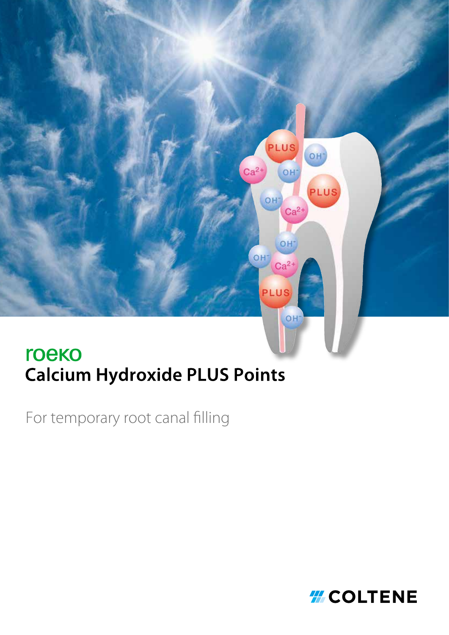

# **Calcium Hydroxide PLUS Points**

For temporary root canal filling

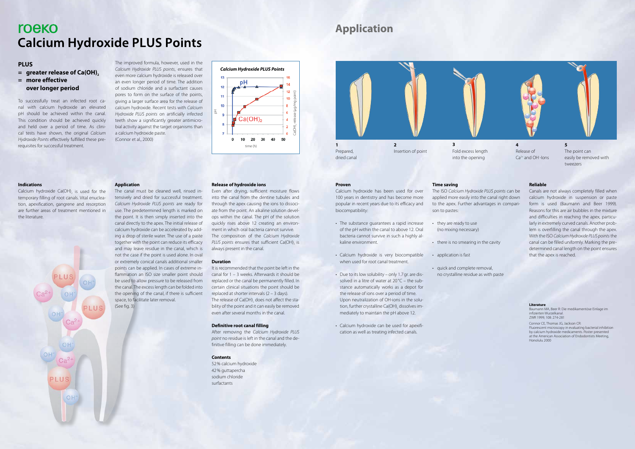# roeko **Calcium Hydroxide PLUS Points**

# **PLUS**

- **= greater release of Ca(OH)2**
- **= more effective over longer period**



#### **Release of hydroxide ions**

Even after drying, sufficient moisture flows into the canal from the dentine tubules and through the apex causing the ions to dissociate from the point. An alkaline solution develops within the canal. The pH of the solution quickly rises above 12 creating an environment in which oral bacteria cannot survive. The composition of the *Calcium Hydroxide PLUS points* ensures that sufficient Ca(OH), is always present in the canal.

#### **Duration**

It is recommended that the point be left in the canal for 1 – 3 weeks. Afterwards it should be replaced or the canal be permanently filled. In certain clinical situations the point should be replaced at shorter intervals (2 – 3 days). The release of Ca(OH), does not affect the stability of the point and it can easily be removed even after several months in the canal.

#### **Definitive root canal filling**

After removing the *Calcium Hydroxide PLUS point* no residue is left in the canal and the definitive filling can be done immediately.

Calcium hydroxide Ca(OH), is used for the temporary filling of root canals. Vital enucleation, apexification, gangrene and resorption are further areas of treatment mentioned in the literature.



#### **Contents**

52% calcium hydroxide 42% guttapercha sodium chloride surfactants

#### **Application**

**4**  Release of  $Ca<sup>2+</sup>$  and OH -lons

The canal must be cleaned well, rinsed intensively and dried for successful treatment. *Calcium Hydroxide PLUS points* are ready for use. The predetermined length is marked on the point. It is then simply inserted into the canal directly to the apex. The initial release of calcium hydroxide can be accelerated by adding a drop of sterile water. The use of a paste together with the point can reduce its efficacy and may leave residue in the canal, which is not the case if the point is used alone. In oval or extremely conical canals additional smaller points can be applied. In cases of extreme inflammation an ISO size smaller point should be used to allow pressure to be released from the canal. The excess length can be folded into the opening of the canal, if there is sufficient space, to facilitate later removal. (See fig. 3)

#### **Indications**

To successfully treat an infected root canal with calcium hydroxide an elevated pH should be achieved within the canal. This condition should be achieved quickly and held over a period of time. As clinical tests have shown, the original *Calcium Hydroxide Points* effectively fulfilled these prerequisites for successful treatment.

The improved formula, however, used in the

*Calcium Hydroxide PLUS points*, ensures that even more calcium hydroxide is released over an even longer period of time. The addition of sodium chloride and a surfactant causes pores to form on the surface of the points, giving a larger surface area for the release of calcium hydroxide. Recent tests with *Calcium Hydroxide PLUS points* on artificially infected teeth show a significantly greater antimicrobial activity against the target organisms than a calcium hydroxide paste. (Connor et al., 2000)

# **Application**







tweezers

#### **Proven**

Calcium hydroxide has been used for over 100 years in dentistry and has become more popular in recent years due to its efficacy and biocompatibility:

- The substance guarantees a rapid increase of the pH within the canal to above 12. Oral bacteria cannot survive in such a highly alkaline environment.
- Calcium hydroxide is very biocompatible when used for root canal treatment.
- Due to its low solubility only 1.7gr. are dissolved in a litre of water at  $20^{\circ}C$  – the substance automatically works as a depot for the release of ions over a period of time. Upon neutralization of OH-ions in the solution, further crystalline Ca(OH), dissolves immediately to maintain the pH above 12.
- Calcium hydroxide can be used for apexification as well as treating infected canals.

#### **Time saving**

The ISO *Calcium Hydroxide PLUS points* can be applied more easily into the canal right down to the apex. Further advantages in compari-

son to pastes:

• there is no smearing in the cavity

- they are ready to use (no mixing necessary)
- application is fast
- quick and complete removal,

no crystalline residue as with paste

#### **Literature**

Baumann MA, Beer R: Die medikamentöse Einlage im infizierten Wurzelkanal. ZWR 1999; 108: 274-281

Connor CE, Thomas JG, Jackson CR:

Fluorescent microscopy in evaluating bacterial inhibition by calcium hydroxide medicaments. Poster presented at the American Association of Endodontists Meeting, Honolulu 2000

**Reliable** 

Canals are not always completely filled when calcium hydroxide in suspension or paste form is used (Baumann and Beer 1999). Reasons for this are air bubbles in the mixture and difficulties in reaching the apex, particularly in extremely curved canals. Another problem is overfilling the canal through the apex. With the ISO *Calcium Hydroxide PLUS points* the canal can be filled uniformly. Marking the predetermined canal length on the point ensures that the apex is reached.